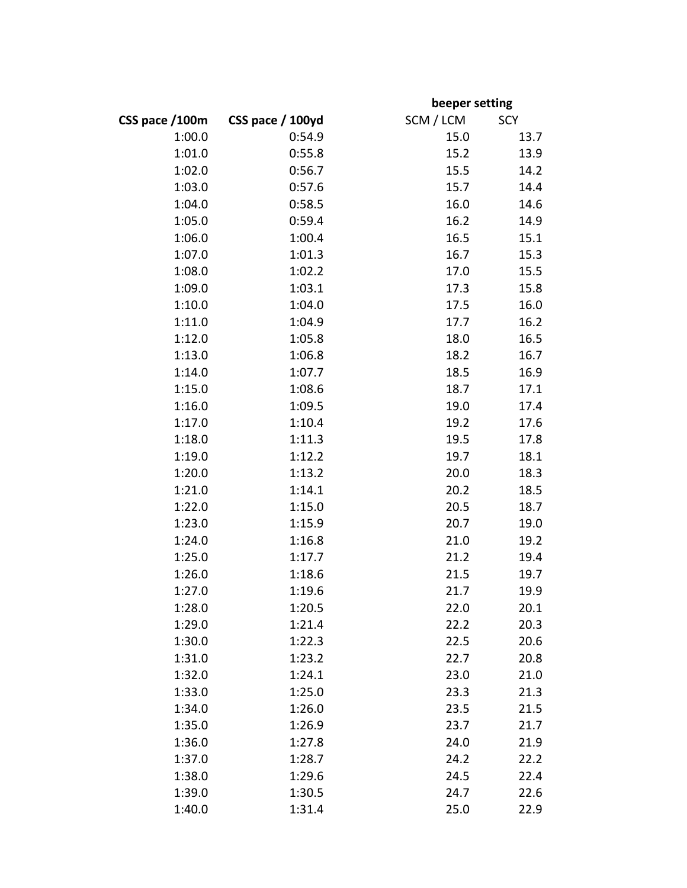|                |                  |           | beeper setting |  |
|----------------|------------------|-----------|----------------|--|
| CSS pace /100m | CSS pace / 100yd | SCM / LCM | <b>SCY</b>     |  |
| 1:00.0         | 0:54.9           | 15.0      | 13.7           |  |
| 1:01.0         | 0:55.8           | 15.2      | 13.9           |  |
| 1:02.0         | 0:56.7           | 15.5      | 14.2           |  |
| 1:03.0         | 0:57.6           | 15.7      | 14.4           |  |
| 1:04.0         | 0:58.5           | 16.0      | 14.6           |  |
| 1:05.0         | 0:59.4           | 16.2      | 14.9           |  |
| 1:06.0         | 1:00.4           | 16.5      | 15.1           |  |
| 1:07.0         | 1:01.3           | 16.7      | 15.3           |  |
| 1:08.0         | 1:02.2           | 17.0      | 15.5           |  |
| 1:09.0         | 1:03.1           | 17.3      | 15.8           |  |
| 1:10.0         | 1:04.0           | 17.5      | 16.0           |  |
| 1:11.0         | 1:04.9           | 17.7      | 16.2           |  |
| 1:12.0         | 1:05.8           | 18.0      | 16.5           |  |
| 1:13.0         | 1:06.8           | 18.2      | 16.7           |  |
| 1:14.0         | 1:07.7           | 18.5      | 16.9           |  |
| 1:15.0         | 1:08.6           | 18.7      | 17.1           |  |
| 1:16.0         | 1:09.5           | 19.0      | 17.4           |  |
| 1:17.0         | 1:10.4           | 19.2      | 17.6           |  |
| 1:18.0         | 1:11.3           | 19.5      | 17.8           |  |
| 1:19.0         | 1:12.2           | 19.7      | 18.1           |  |
| 1:20.0         | 1:13.2           | 20.0      | 18.3           |  |
| 1:21.0         | 1:14.1           | 20.2      | 18.5           |  |
| 1:22.0         | 1:15.0           | 20.5      | 18.7           |  |
| 1:23.0         | 1:15.9           | 20.7      | 19.0           |  |
| 1:24.0         | 1:16.8           | 21.0      | 19.2           |  |
| 1:25.0         | 1:17.7           | 21.2      | 19.4           |  |
| 1:26.0         | 1:18.6           | 21.5      | 19.7           |  |
| 1:27.0         | 1:19.6           | 21.7      | 19.9           |  |
| 1:28.0         | 1:20.5           | 22.0      | 20.1           |  |
| 1:29.0         | 1:21.4           | 22.2      | 20.3           |  |
| 1:30.0         | 1:22.3           | 22.5      | 20.6           |  |
| 1:31.0         | 1:23.2           | 22.7      | 20.8           |  |
| 1:32.0         | 1:24.1           | 23.0      | 21.0           |  |
| 1:33.0         | 1:25.0           | 23.3      | 21.3           |  |
| 1:34.0         | 1:26.0           | 23.5      | 21.5           |  |
| 1:35.0         | 1:26.9           | 23.7      | 21.7           |  |
| 1:36.0         | 1:27.8           | 24.0      | 21.9           |  |
| 1:37.0         | 1:28.7           | 24.2      | 22.2           |  |
| 1:38.0         | 1:29.6           | 24.5      | 22.4           |  |
| 1:39.0         | 1:30.5           | 24.7      | 22.6           |  |
| 1:40.0         | 1:31.4           | 25.0      | 22.9           |  |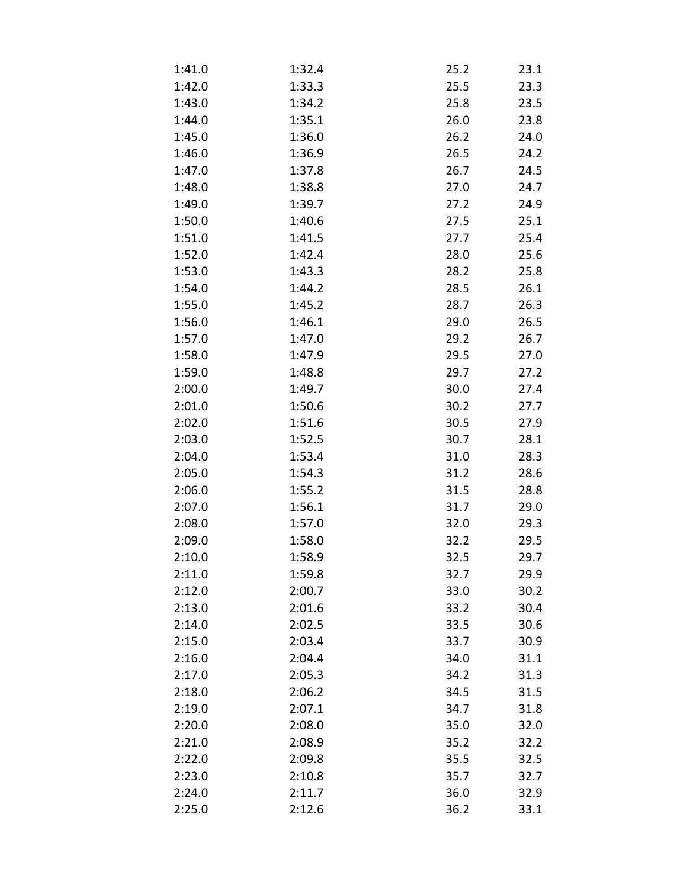| 1:41.0 | 1:32.4 | 25.2 | 23.1 |
|--------|--------|------|------|
| 1:42.0 | 1:33.3 | 25.5 | 23.3 |
| 1:43.0 | 1:34.2 | 25.8 | 23.5 |
| 1:44.0 | 1:35.1 | 26.0 | 23.8 |
| 1:45.0 | 1:36.0 | 26.2 | 24.0 |
| 1:46.0 | 1:36.9 | 26.5 | 24.2 |
| 1:47.0 | 1:37.8 | 26.7 | 24.5 |
| 1:48.0 | 1:38.8 | 27.0 | 24.7 |
| 1:49.0 | 1:39.7 | 27.2 | 24.9 |
| 1:50.0 | 1:40.6 | 27.5 | 25.1 |
| 1:51.0 | 1:41.5 | 27.7 | 25.4 |
| 1:52.0 | 1:42.4 | 28.0 | 25.6 |
| 1:53.0 | 1:43.3 | 28.2 | 25.8 |
| 1:54.0 | 1:44.2 | 28.5 | 26.1 |
| 1:55.0 | 1:45.2 | 28.7 | 26.3 |
| 1:56.0 | 1:46.1 | 29.0 | 26.5 |
| 1:57.0 | 1:47.0 | 29.2 | 26.7 |
| 1:58.0 | 1:47.9 | 29.5 | 27.0 |
| 1:59.0 | 1:48.8 | 29.7 | 27.2 |
| 2:00.0 | 1:49.7 | 30.0 | 27.4 |
| 2:01.0 | 1:50.6 | 30.2 | 27.7 |
| 2:02.0 | 1:51.6 | 30.5 | 27.9 |
| 2:03.0 | 1:52.5 | 30.7 | 28.1 |
| 2:04.0 | 1:53.4 | 31.0 | 28.3 |
| 2:05.0 | 1:54.3 | 31.2 | 28.6 |
| 2:06.0 | 1:55.2 | 31.5 | 28.8 |
| 2:07.0 | 1:56.1 | 31.7 | 29.0 |
| 2:08.0 | 1:57.0 | 32.0 | 29.3 |
| 2:09.0 | 1:58.0 | 32.2 | 29.5 |
| 2:10.0 | 1:58.9 | 32.5 | 29.7 |
| 2:11.0 | 1:59.8 | 32.7 | 29.9 |
| 2:12.0 | 2:00.7 | 33.0 | 30.2 |
| 2:13.0 | 2:01.6 | 33.2 | 30.4 |
| 2:14.0 | 2:02.5 | 33.5 | 30.6 |
| 2:15.0 | 2:03.4 | 33.7 | 30.9 |
| 2:16.0 | 2:04.4 | 34.0 | 31.1 |
| 2:17.0 | 2:05.3 | 34.2 | 31.3 |
| 2:18.0 | 2:06.2 | 34.5 | 31.5 |
| 2:19.0 | 2:07.1 | 34.7 | 31.8 |
| 2:20.0 | 2:08.0 | 35.0 | 32.0 |
| 2:21.0 | 2:08.9 | 35.2 | 32.2 |
| 2:22.0 | 2:09.8 | 35.5 | 32.5 |
| 2:23.0 | 2:10.8 | 35.7 | 32.7 |
| 2:24.0 | 2:11.7 | 36.0 | 32.9 |
| 2:25.0 | 2:12.6 | 36.2 | 33.1 |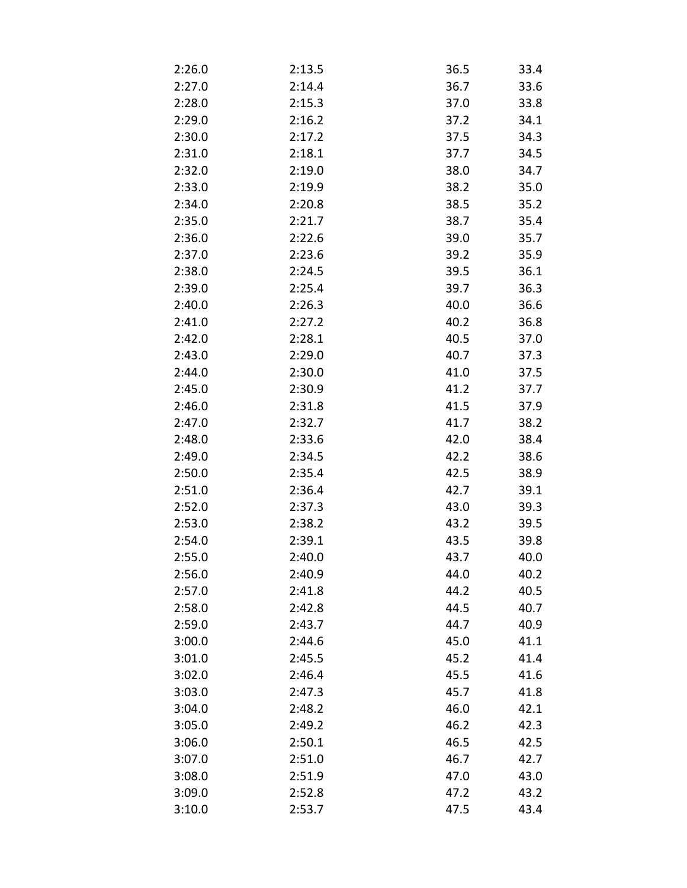| 2:26.0 | 2:13.5 | 36.5 | 33.4 |
|--------|--------|------|------|
| 2:27.0 | 2:14.4 | 36.7 | 33.6 |
| 2:28.0 | 2:15.3 | 37.0 | 33.8 |
| 2:29.0 | 2:16.2 | 37.2 | 34.1 |
| 2:30.0 | 2:17.2 | 37.5 | 34.3 |
| 2:31.0 | 2:18.1 | 37.7 | 34.5 |
| 2:32.0 | 2:19.0 | 38.0 | 34.7 |
| 2:33.0 | 2:19.9 | 38.2 | 35.0 |
| 2:34.0 | 2:20.8 | 38.5 | 35.2 |
| 2:35.0 | 2:21.7 | 38.7 | 35.4 |
| 2:36.0 | 2:22.6 | 39.0 | 35.7 |
| 2:37.0 | 2:23.6 | 39.2 | 35.9 |
| 2:38.0 | 2:24.5 | 39.5 | 36.1 |
| 2:39.0 | 2:25.4 | 39.7 | 36.3 |
| 2:40.0 | 2:26.3 | 40.0 | 36.6 |
| 2:41.0 | 2:27.2 | 40.2 | 36.8 |
| 2:42.0 | 2:28.1 | 40.5 | 37.0 |
| 2:43.0 | 2:29.0 | 40.7 | 37.3 |
| 2:44.0 | 2:30.0 | 41.0 | 37.5 |
| 2:45.0 | 2:30.9 | 41.2 | 37.7 |
| 2:46.0 | 2:31.8 | 41.5 | 37.9 |
| 2:47.0 | 2:32.7 | 41.7 | 38.2 |
| 2:48.0 | 2:33.6 | 42.0 | 38.4 |
| 2:49.0 | 2:34.5 | 42.2 | 38.6 |
| 2:50.0 | 2:35.4 | 42.5 | 38.9 |
| 2:51.0 | 2:36.4 | 42.7 | 39.1 |
| 2:52.0 | 2:37.3 | 43.0 | 39.3 |
| 2:53.0 | 2:38.2 | 43.2 | 39.5 |
| 2:54.0 | 2:39.1 | 43.5 | 39.8 |
| 2:55.0 | 2:40.0 | 43.7 | 40.0 |
| 2:56.0 | 2:40.9 | 44.0 | 40.2 |
| 2:57.0 | 2:41.8 | 44.2 | 40.5 |
| 2:58.0 | 2:42.8 | 44.5 | 40.7 |
| 2:59.0 | 2:43.7 | 44.7 | 40.9 |
| 3:00.0 | 2:44.6 | 45.0 | 41.1 |
| 3:01.0 | 2:45.5 | 45.2 | 41.4 |
| 3:02.0 | 2:46.4 | 45.5 | 41.6 |
| 3:03.0 | 2:47.3 | 45.7 | 41.8 |
| 3:04.0 | 2:48.2 | 46.0 | 42.1 |
| 3:05.0 | 2:49.2 | 46.2 | 42.3 |
| 3:06.0 | 2:50.1 | 46.5 | 42.5 |
| 3:07.0 | 2:51.0 | 46.7 | 42.7 |
| 3:08.0 | 2:51.9 | 47.0 | 43.0 |
| 3:09.0 | 2:52.8 | 47.2 | 43.2 |
| 3:10.0 | 2:53.7 | 47.5 | 43.4 |